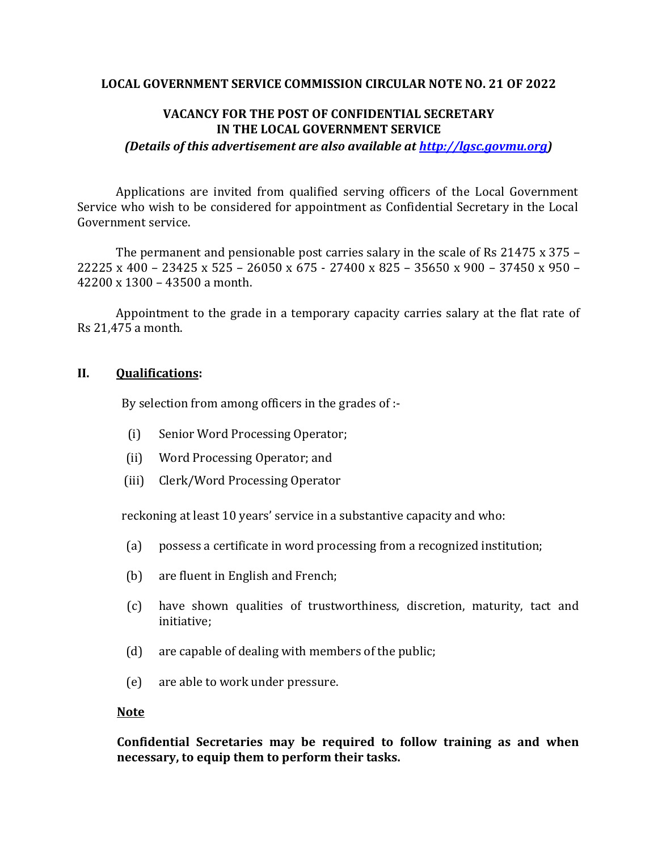#### **LOCAL GOVERNMENT SERVICE COMMISSION CIRCULAR NOTE NO. 21 OF 2022**

### **VACANCY FOR THE POST OF CONFIDENTIAL SECRETARY IN THE LOCAL GOVERNMENT SERVICE**

*(Details of this advertisement are also available at [http://lgsc.govmu.org\)](http://lgsc.govmu.org/)*

Applications are invited from qualified serving officers of the Local Government Service who wish to be considered for appointment as Confidential Secretary in the Local Government service.

The permanent and pensionable post carries salary in the scale of Rs 21475 x 375 – 22225 x 400 – 23425 x 525 – 26050 x 675 - 27400 x 825 – 35650 x 900 – 37450 x 950 – 42200 x 1300 – 43500 a month.

Appointment to the grade in a temporary capacity carries salary at the flat rate of Rs 21,475 a month.

#### **II. Qualifications:**

By selection from among officers in the grades of :-

- (i) Senior Word Processing Operator;
- (ii) Word Processing Operator; and
- (iii) Clerk/Word Processing Operator

reckoning at least 10 years' service in a substantive capacity and who:

- (a) possess a certificate in word processing from a recognized institution;
- (b) are fluent in English and French;
- (c) have shown qualities of trustworthiness, discretion, maturity, tact and initiative;
- (d) are capable of dealing with members of the public;
- (e) are able to work under pressure.

#### **Note**

**Confidential Secretaries may be required to follow training as and when necessary, to equip them to perform their tasks.**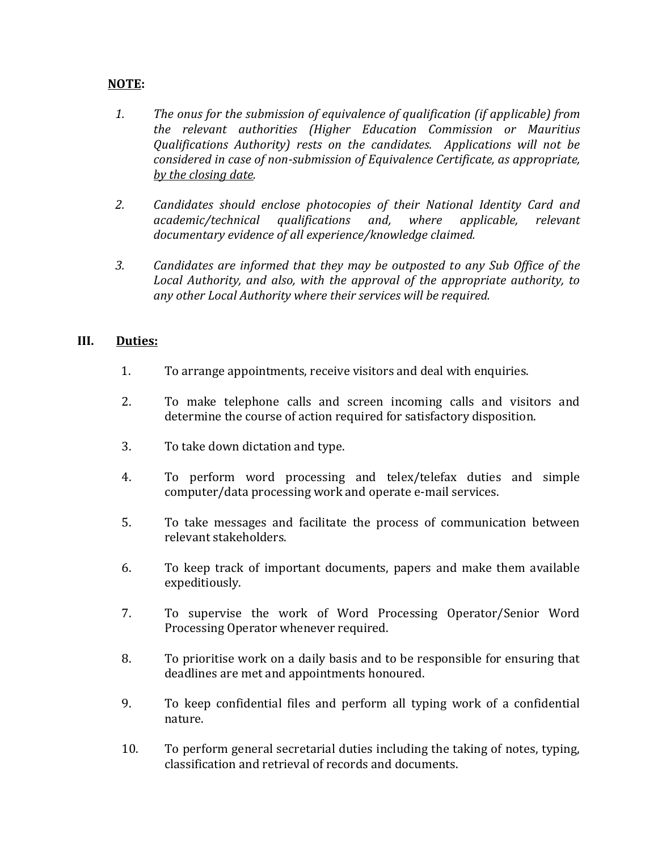# **NOTE:**

- *1. The onus for the submission of equivalence of qualification (if applicable) from the relevant authorities (Higher Education Commission or Mauritius Qualifications Authority) rests on the candidates. Applications will not be considered in case of non-submission of Equivalence Certificate, as appropriate, by the closing date.*
- *2. Candidates should enclose photocopies of their National Identity Card and academic/technical qualifications and, where applicable, relevant documentary evidence of all experience/knowledge claimed.*
- *3. Candidates are informed that they may be outposted to any Sub Office of the Local Authority, and also, with the approval of the appropriate authority, to any other Local Authority where their services will be required.*

# **III. Duties:**

- 1. To arrange appointments, receive visitors and deal with enquiries.
- 2. To make telephone calls and screen incoming calls and visitors and determine the course of action required for satisfactory disposition.
- 3. To take down dictation and type.
- 4. To perform word processing and telex/telefax duties and simple computer/data processing work and operate e-mail services.
- 5. To take messages and facilitate the process of communication between relevant stakeholders.
- 6. To keep track of important documents, papers and make them available expeditiously.
- 7. To supervise the work of Word Processing Operator/Senior Word Processing Operator whenever required.
- 8. To prioritise work on a daily basis and to be responsible for ensuring that deadlines are met and appointments honoured.
- 9. To keep confidential files and perform all typing work of a confidential nature.
- 10. To perform general secretarial duties including the taking of notes, typing, classification and retrieval of records and documents.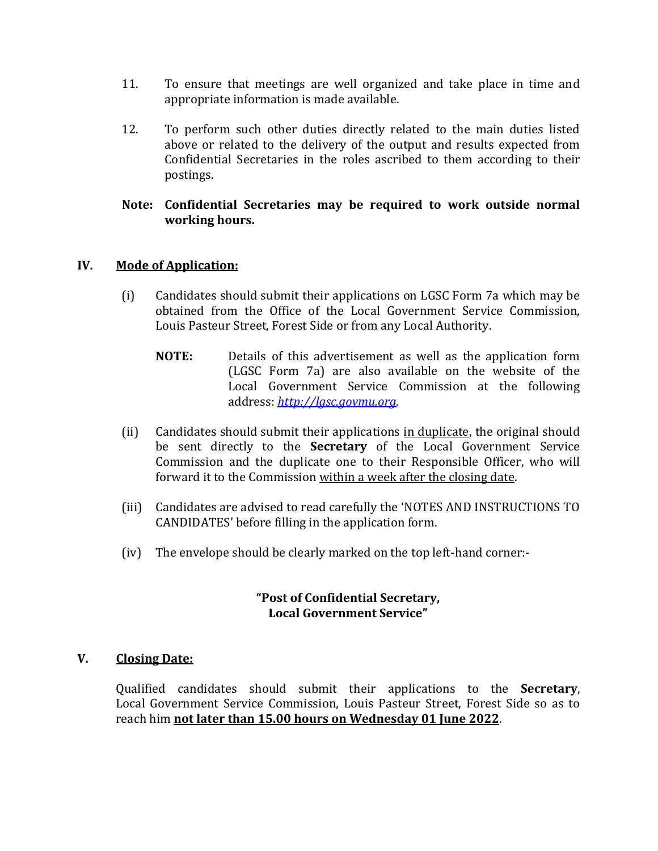- 11. To ensure that meetings are well organized and take place in time and appropriate information is made available.
- 12. To perform such other duties directly related to the main duties listed above or related to the delivery of the output and results expected from Confidential Secretaries in the roles ascribed to them according to their postings.

### **Note: Confidential Secretaries may be required to work outside normal working hours.**

# **IV. Mode of Application:**

- (i) Candidates should submit their applications on LGSC Form 7a which may be obtained from the Office of the Local Government Service Commission, Louis Pasteur Street, Forest Side or from any Local Authority.
	- **NOTE:** Details of this advertisement as well as the application form (LGSC Form 7a) are also available on the website of the Local Government Service Commission at the following address: *[http://lgsc.govmu.org](http://lgsc.govmu.org/)*.
- (ii) Candidates should submit their applications in duplicate, the original should be sent directly to the **Secretary** of the Local Government Service Commission and the duplicate one to their Responsible Officer, who will forward it to the Commission within a week after the closing date.
- (iii) Candidates are advised to read carefully the 'NOTES AND INSTRUCTIONS TO CANDIDATES' before filling in the application form.
- (iv) The envelope should be clearly marked on the top left-hand corner:-

### **"Post of Confidential Secretary, Local Government Service"**

### **V. Closing Date:**

Qualified candidates should submit their applications to the **Secretary**, Local Government Service Commission, Louis Pasteur Street, Forest Side so as to reach him **not later than 15.00 hours on Wednesday 01 June 2022**.